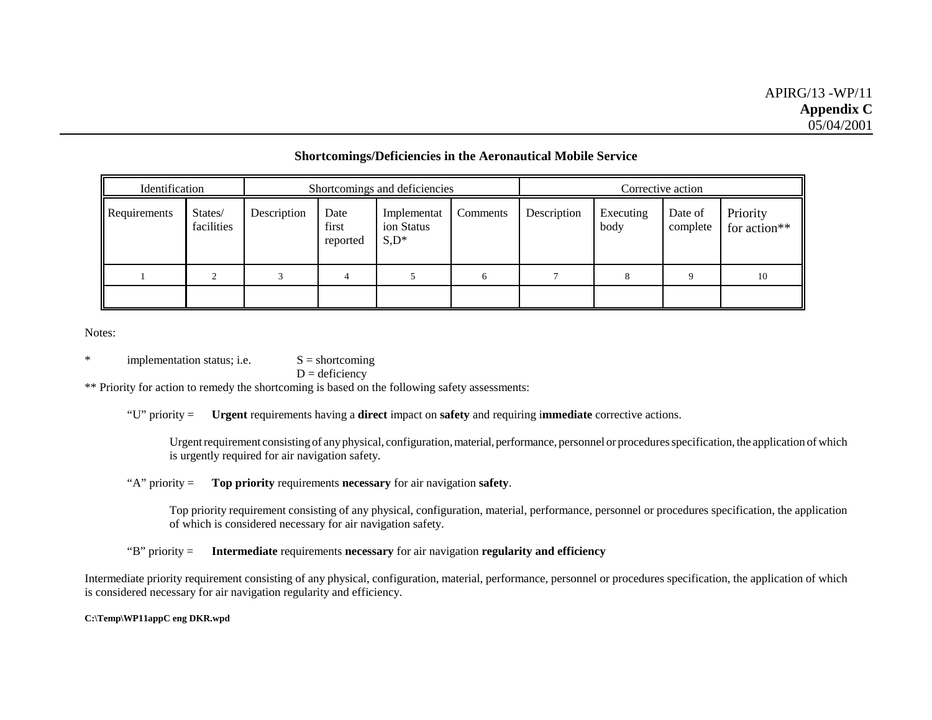| Identification |                       | Shortcomings and deficiencies |                           |                                       |          | Corrective action |                   |                     |                          |  |
|----------------|-----------------------|-------------------------------|---------------------------|---------------------------------------|----------|-------------------|-------------------|---------------------|--------------------------|--|
| Requirements   | States/<br>facilities | Description                   | Date<br>first<br>reported | Implementat<br>ion Status<br>$S, D^*$ | Comments | Description       | Executing<br>body | Date of<br>complete | Priority<br>for action** |  |
|                |                       |                               |                           |                                       | 6        |                   |                   |                     | 10                       |  |
|                |                       |                               |                           |                                       |          |                   |                   |                     |                          |  |

## **Shortcomings/Deficiencies in the Aeronautical Mobile Service**

Notes:

\* implementation status; i.e.  $S =$  shortcoming

 $D =$  deficiency

\*\* Priority for action to remedy the shortcoming is based on the following safety assessments:

"U" priority = **Urgent** requirements having a **direct** impact on **safety** and requiring i**mmediate** corrective actions.

Urgent requirement consisting of any physical, configuration, material, performance, personnel or procedures specification, the application of which is urgently required for air navigation safety.

"A" priority = **Top priority** requirements **necessary** for air navigation **safety**.

Top priority requirement consisting of any physical, configuration, material, performance, personnel or procedures specification, the application of which is considered necessary for air navigation safety.

"B" priority = **Intermediate** requirements **necessary** for air navigation **regularity and efficiency**

Intermediate priority requirement consisting of any physical, configuration, material, performance, personnel or procedures specification, the application of which is considered necessary for air navigation regularity and efficiency.

**C:\Temp\WP11appC eng DKR.wpd**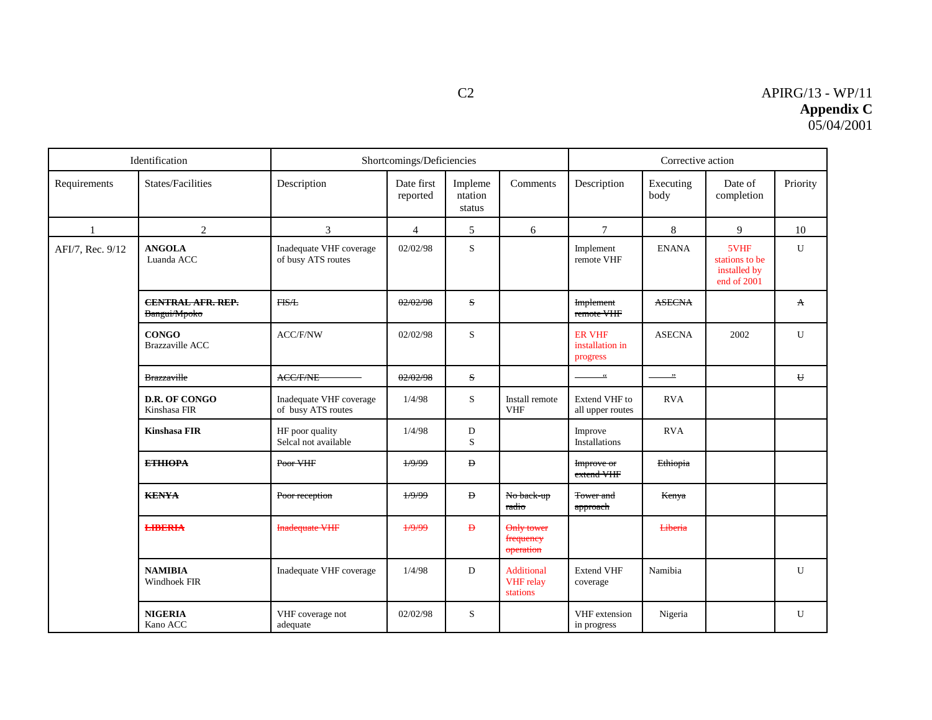| Identification   |                                          | Shortcomings/Deficiencies                     | Corrective action      |                              |                                            |                                              |                   |                                                       |              |
|------------------|------------------------------------------|-----------------------------------------------|------------------------|------------------------------|--------------------------------------------|----------------------------------------------|-------------------|-------------------------------------------------------|--------------|
| Requirements     | States/Facilities                        | Description                                   | Date first<br>reported | Impleme<br>ntation<br>status | Comments                                   | Description                                  | Executing<br>body | Date of<br>completion                                 | Priority     |
|                  | $\overline{2}$                           | 3                                             | $\overline{4}$         | 5                            | 6                                          | $\tau$                                       | 8                 | 9                                                     | 10           |
| AFI/7, Rec. 9/12 | <b>ANGOLA</b><br>Luanda ACC              | Inadequate VHF coverage<br>of busy ATS routes | 02/02/98               | S                            |                                            | Implement<br>remote VHF                      | <b>ENANA</b>      | 5VHF<br>stations to be<br>installed by<br>end of 2001 | U            |
|                  | <b>CENTRAL AFR. REP.</b><br>Bangui/Mpoko | FIS/L                                         | 02/02/98               | ${\bf S}$                    |                                            | Implement<br>remote VHF                      | <b>ASECNA</b>     |                                                       | $\mathbf{A}$ |
|                  | <b>CONGO</b><br>Brazzaville ACC          | <b>ACC/F/NW</b>                               | 02/02/98               | S                            |                                            | <b>ER VHF</b><br>installation in<br>progress | <b>ASECNA</b>     | 2002                                                  | U            |
|                  | <b>Brazzaville</b>                       | <b>ACC/F/NE</b>                               | 02/02/98               | S                            |                                            | $-66$                                        | $\rightarrow$     |                                                       | $\mathbf{U}$ |
|                  | D.R. OF CONGO<br>Kinshasa FIR            | Inadequate VHF coverage<br>of busy ATS routes | 1/4/98                 | S                            | Install remote<br><b>VHF</b>               | Extend VHF to<br>all upper routes            | <b>RVA</b>        |                                                       |              |
|                  | <b>Kinshasa FIR</b>                      | HF poor quality<br>Selcal not available       | 1/4/98                 | $\mathbf D$<br>S             |                                            | Improve<br>Installations                     | <b>RVA</b>        |                                                       |              |
|                  | <b>ETHIOPA</b>                           | Poor VHF                                      | 1/9/99                 | $\mathbf D$                  |                                            | Improve or<br>extend VHF                     | Ethiopia          |                                                       |              |
|                  | <b>KENYA</b>                             | Poor reception                                | 1/9/99                 | $\mathbf{D}$                 | No back-up<br>radio                        | <b>Tower and</b><br>approach                 | Kenya             |                                                       |              |
|                  | <b>LIBERIA</b>                           | <b>Inadequate VHF</b>                         | 1/9/99                 | $\overline{B}$               | Only tower<br>frequency<br>operation       |                                              | <b>Liberia</b>    |                                                       |              |
|                  | <b>NAMIBIA</b><br>Windhoek FIR           | Inadequate VHF coverage                       | 1/4/98                 | ${\rm D}$                    | Additional<br><b>VHF</b> relay<br>stations | <b>Extend VHF</b><br>coverage                | Namibia           |                                                       | U            |
|                  | <b>NIGERIA</b><br>Kano ACC               | VHF coverage not<br>adequate                  | 02/02/98               | S                            |                                            | VHF extension<br>in progress                 | Nigeria           |                                                       | U            |